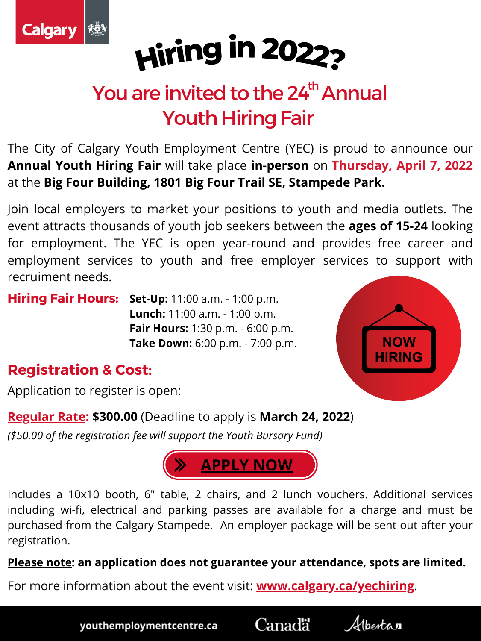



## You are invited to the 24<sup>th</sup> Annual **Youth Hiring Fair** th

The City of Calgary Youth Employment Centre (YEC) is proud to announce our **Annual Youth Hiring Fair** will take place **in-person** on **Thursday, April 7, 2022** at the **Big Four Building, 1801 Big Four Trail SE, Stampede Park.**

**Hiring Fair Hours:** Set-Up: 11:00 a.m. - 1:00 p.m. **Lunch:** 11:00 a.m. - 1:00 p.m. **Fair Hours:** 1:30 p.m. - 6:00 p.m.



**Take Down:** 6:00 p.m. - 7:00 p.m.

Join local employers to market your positions to youth and media outlets. The event attracts thousands of youth job seekers between the **ages of 15-24** looking for employment. The YEC is open year-round and provides free career and employment services to youth and free employer services to support with recruiment needs.

## **Registration & Cost:**

Application to register is open:

**Regular Rate: \$300.00** (Deadline to apply is **March 24, 2022**)

*(\$50.00 of the registration fee will support the Youth Bursary Fund)*

Includes a 10x10 booth, 6" table, 2 chairs, and 2 lunch vouchers. Additional services including wi-fi, electrical and parking passes are available for a charge and must be purchased from the Calgary Stampede. An employer package will be sent out after your registration.

**Please note: an application does not guarantee your attendance, spots are limited.**

For more information about the event visit: **[www.calgary.ca/yechiring](https://www.calgary.ca/csps/cns/children-and-youth/youth-employment-centre/Youth-Hiring-Event.html)**.

youthemploymentcentre.ca

Canadä



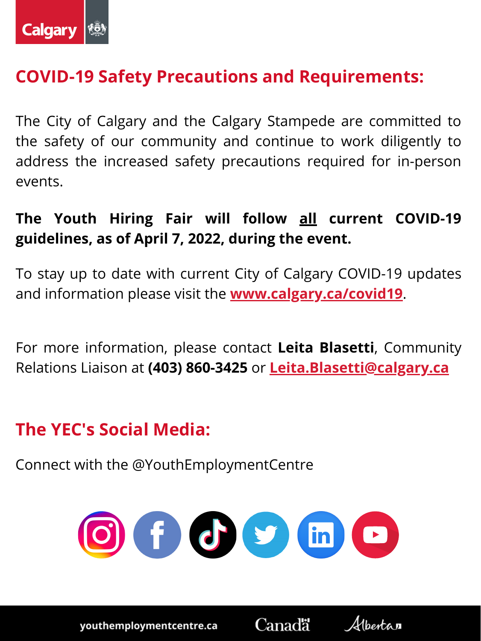

# **COVID-19 Safety Precautions and Requirements:**

The City of Calgary and the Calgary Stampede are committed to the safety of our community and continue to work diligently to address the increased safety precautions required for in-person events.

**The Youth Hiring Fair will follow all current COVID-19 guidelines, as of April 7, 2022, during the event.**

To stay up to date with current City of Calgary COVID-19 updates and information please visit the **[w](https://www.calgary.ca/csps/cema/covid19/response-to-coronavirus.html)ww.calgary.ca/covid19**.

For more information, please contact **Leita Blasetti**, Community Relations Liaison at **(403) 860-3425** or **[Leita.Blasetti@calgary.ca](mailto:leita.blasetti@calgary.ca)**

# **The YEC's Social Media:**

Connect with the @YouthEmploymentCentre



youthemploymentcentre.ca

Canadä

Albertan